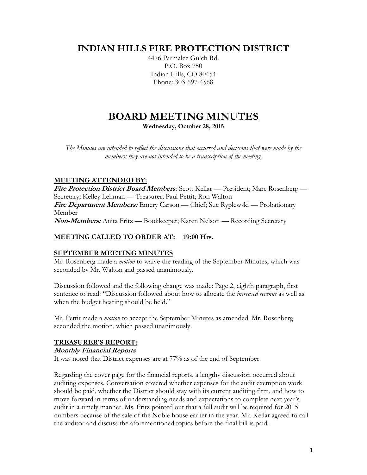# **INDIAN HILLS FIRE PROTECTION DISTRICT**

4476 Parmalee Gulch Rd. P.O. Box 750 Indian Hills, CO 80454 Phone: 303-697-4568

# **BOARD MEETING MINUTES**

**Wednesday, October 28, 2015**

*The Minutes are intended to reflect the discussions that occurred and decisions that were made by the members; they are not intended to be a transcription of the meeting.*

# **MEETING ATTENDED BY:**

**Fire Protection District Board Members:** Scott Kellar — President; Marc Rosenberg — Secretary; Kelley Lehman — Treasurer; Paul Pettit; Ron Walton **Fire Department Members:** Emery Carson — Chief; Sue Ryplewski — Probationary Member **Non-Members:** Anita Fritz — Bookkeeper; Karen Nelson — Recording Secretary

# **MEETING CALLED TO ORDER AT: 19:00 Hrs.**

# **SEPTEMBER MEETING MINUTES**

Mr. Rosenberg made a *motion* to waive the reading of the September Minutes, which was seconded by Mr. Walton and passed unanimously.

Discussion followed and the following change was made: Page 2, eighth paragraph, first sentence to read: "Discussion followed about how to allocate the *increased revenue* as well as when the budget hearing should be held."

Mr. Pettit made a *motion* to accept the September Minutes as amended. Mr. Rosenberg seconded the motion, which passed unanimously.

# **TREASURER'S REPORT:**

#### **Monthly Financial Reports**

It was noted that District expenses are at 77% as of the end of September.

Regarding the cover page for the financial reports, a lengthy discussion occurred about auditing expenses. Conversation covered whether expenses for the audit exemption work should be paid, whether the District should stay with its current auditing firm, and how to move forward in terms of understanding needs and expectations to complete next year's audit in a timely manner. Ms. Fritz pointed out that a full audit will be required for 2015 numbers because of the sale of the Noble house earlier in the year. Mr. Kellar agreed to call the auditor and discuss the aforementioned topics before the final bill is paid.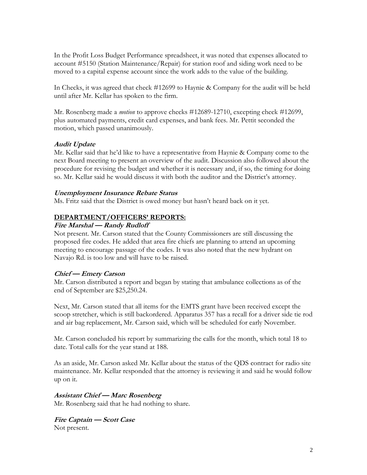In the Profit Loss Budget Performance spreadsheet, it was noted that expenses allocated to account #5150 (Station Maintenance/Repair) for station roof and siding work need to be moved to a capital expense account since the work adds to the value of the building.

In Checks, it was agreed that check #12699 to Haynie & Company for the audit will be held until after Mr. Kellar has spoken to the firm.

Mr. Rosenberg made a *motion* to approve checks #12689-12710, excepting check #12699, plus automated payments, credit card expenses, and bank fees. Mr. Pettit seconded the motion, which passed unanimously.

#### **Audit Update**

Mr. Kellar said that he'd like to have a representative from Haynie & Company come to the next Board meeting to present an overview of the audit. Discussion also followed about the procedure for revising the budget and whether it is necessary and, if so, the timing for doing so. Mr. Kellar said he would discuss it with both the auditor and the District's attorney.

#### **Unemployment Insurance Rebate Status**

Ms. Fritz said that the District is owed money but hasn't heard back on it yet.

#### **DEPARTMENT/OFFICERS' REPORTS:**

#### **Fire Marshal — Randy Rudloff**

Not present. Mr. Carson stated that the County Commissioners are still discussing the proposed fire codes. He added that area fire chiefs are planning to attend an upcoming meeting to encourage passage of the codes. It was also noted that the new hydrant on Navajo Rd. is too low and will have to be raised.

#### **Chief — Emery Carson**

Mr. Carson distributed a report and began by stating that ambulance collections as of the end of September are \$25,250.24.

Next, Mr. Carson stated that all items for the EMTS grant have been received except the scoop stretcher, which is still backordered. Apparatus 357 has a recall for a driver side tie rod and air bag replacement, Mr. Carson said, which will be scheduled for early November.

Mr. Carson concluded his report by summarizing the calls for the month, which total 18 to date. Total calls for the year stand at 188.

As an aside, Mr. Carson asked Mr. Kellar about the status of the QDS contract for radio site maintenance. Mr. Kellar responded that the attorney is reviewing it and said he would follow up on it.

#### **Assistant Chief — Marc Rosenberg**

Mr. Rosenberg said that he had nothing to share.

**Fire Captain — Scott Case** Not present.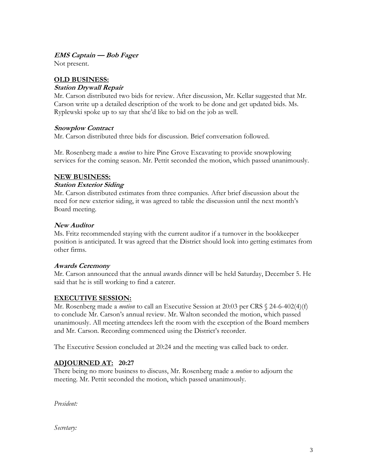#### **EMS Captain — Bob Fager**

Not present.

# **OLD BUSINESS:**

#### **Station Drywall Repair**

Mr. Carson distributed two bids for review. After discussion, Mr. Kellar suggested that Mr. Carson write up a detailed description of the work to be done and get updated bids. Ms. Ryplewski spoke up to say that she'd like to bid on the job as well.

#### **Snowplow Contract**

Mr. Carson distributed three bids for discussion. Brief conversation followed.

Mr. Rosenberg made a *motion* to hire Pine Grove Excavating to provide snowplowing services for the coming season. Mr. Pettit seconded the motion, which passed unanimously.

#### **NEW BUSINESS:**

#### **Station Exterior Siding**

Mr. Carson distributed estimates from three companies. After brief discussion about the need for new exterior siding, it was agreed to table the discussion until the next month's Board meeting.

#### **New Auditor**

Ms. Fritz recommended staying with the current auditor if a turnover in the bookkeeper position is anticipated. It was agreed that the District should look into getting estimates from other firms.

# **Awards Ceremony**

Mr. Carson announced that the annual awards dinner will be held Saturday, December 5. He said that he is still working to find a caterer.

# **EXECUTIVE SESSION:**

Mr. Rosenberg made a *motion* to call an Executive Session at 20:03 per CRS § 24-6-402(4)(f) to conclude Mr. Carson's annual review. Mr. Walton seconded the motion, which passed unanimously. All meeting attendees left the room with the exception of the Board members and Mr. Carson. Recording commenced using the District's recorder.

The Executive Session concluded at 20:24 and the meeting was called back to order.

# **ADJOURNED AT: 20:27**

There being no more business to discuss, Mr. Rosenberg made a *motion* to adjourn the meeting. Mr. Pettit seconded the motion, which passed unanimously.

*President:*

*Secretary:*